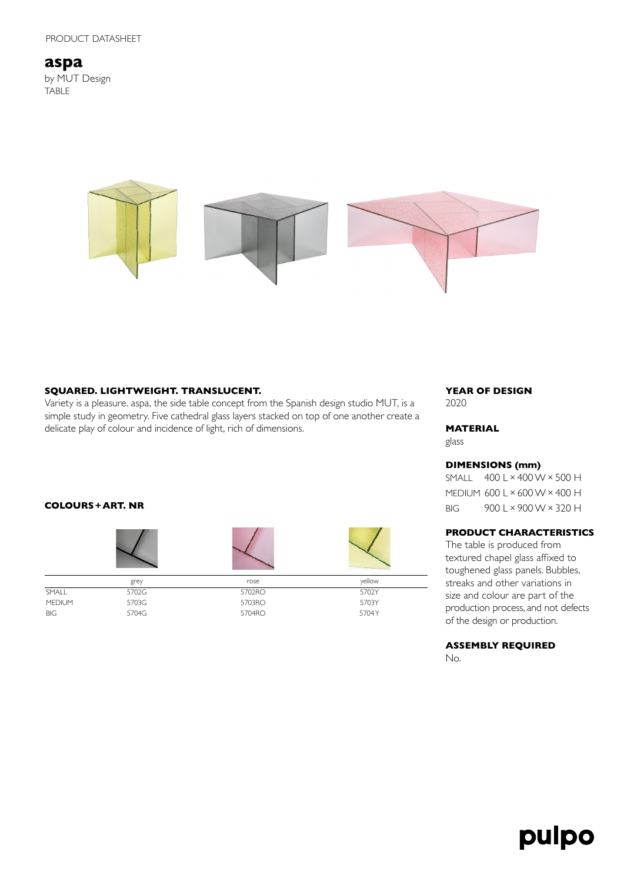**aspa** by MUT Design TABLE



### **SQUARED. LIGHTWEIGHT. TRANSLUCENT.**

Variety is a pleasure. aspa, the side table concept from the Spanish design studio MUT, is a simple study in geometry. Five cathedral glass layers stacked on top of one another create a delicate play of colour and incidence of light, rich of dimensions.

#### **COLOURS+ART. NR**



BIG 5704G 5704 S 5704 RO 5704 YO 5704 YO 5704 YO 5704 YO 5704 YO 5704 YO 5704 YO 5704 YO 5704 YO 5704 YO 5704 Y

#### **YEAR OF DESIGN** 2020

# **MATERIAL**

glass

# **DIMENSIONS (mm)**

SMALL 400 L×400 W×500 H MEDIUM 600 L×600 W×400 H BIG 900 L×900 W×320 H

# **PRODUCT CHARACTERISTICS**

The table is produced from textured chapel glass affixed to toughened glass panels. Bubbles, streaks and other variations in size and colour are part of the production process, and not defects of the design or production.

**ASSEMBLY REQUIRED** No.

# pulpo